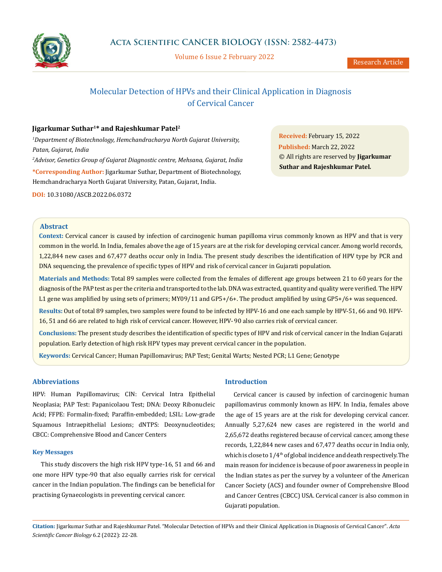

Volume 6 Issue 2 February 2022

# Molecular Detection of HPVs and their Clinical Application in Diagnosis of Cervical Cancer

# **Jigarkumar Suthar1\* and Rajeshkumar Patel2**

*1 Department of Biotechnology, Hemchandracharya North Gujarat University, Patan, Gujarat, India 2 Advisor, Genetics Group of Gujarat Diagnostic centre, Mehsana, Gujarat, India* **\*Corresponding Author:** Jigarkumar Suthar, Department of Biotechnology, Hemchandracharya North Gujarat University, Patan, Gujarat, India.

**DOI:** [10.31080/ASCB.2022.06.0372](http://actascientific.com/ASCB/pdf/ASCB-06-0372.pdf)

**Received:** February 15, 2022 **Published:** March 22, 2022 © All rights are reserved by **Jigarkumar Suthar and Rajeshkumar Patel***.*

#### **Abstract**

**Context:** Cervical cancer is caused by infection of carcinogenic human papilloma virus commonly known as HPV and that is very common in the world. In India, females above the age of 15 years are at the risk for developing cervical cancer. Among world records, 1,22,844 new cases and 67,477 deaths occur only in India. The present study describes the identification of HPV type by PCR and DNA sequencing, the prevalence of specific types of HPV and risk of cervical cancer in Gujarati population.

**Materials and Methods:** Total 89 samples were collected from the females of different age groups between 21 to 60 years for the diagnosis of the PAP test as per the criteria and transported to the lab. DNA was extracted, quantity and quality were verified. The HPV L1 gene was amplified by using sets of primers; MY09/11 and GP5+/6+. The product amplified by using GP5+/6+ was sequenced.

**Results:** Out of total 89 samples, two samples were found to be infected by HPV-16 and one each sample by HPV-51, 66 and 90. HPV-16, 51 and 66 are related to high risk of cervical cancer. However, HPV- 90 also carries risk of cervical cancer.

**Conclusions:** The present study describes the identification of specific types of HPV and risk of cervical cancer in the Indian Gujarati population. Early detection of high risk HPV types may prevent cervical cancer in the population.

**Keywords:** Cervical Cancer; Human Papillomavirus; PAP Test; Genital Warts; Nested PCR; L1 Gene; Genotype

# **Abbreviations**

HPV: Human Papillomavirus; CIN: Cervical Intra Epithelial Neoplasia; PAP Test: Papanicolaou Test; DNA: Deoxy Ribonucleic Acid; FFPE: Formalin-fixed; Paraffin-embedded; LSIL: Low-grade Squamous Intraepithelial Lesions; dNTPS: Deoxynucleotides; CBCC: Comprehensive Blood and Cancer Centers

## **Key Messages**

This study discovers the high risk HPV type-16, 51 and 66 and one more HPV type-90 that also equally carries risk for cervical cancer in the Indian population. The findings can be beneficial for practising Gynaecologists in preventing cervical cancer.

# **Introduction**

Cervical cancer is caused by infection of carcinogenic human papillomavirus commonly known as HPV. In India, females above the age of 15 years are at the risk for developing cervical cancer. Annually 5,27,624 new cases are registered in the world and 2,65,672 deaths registered because of cervical cancer, among these records, 1,22,844 new cases and 67,477 deaths occur in India only, which is close to  $1/4<sup>th</sup>$  of global incidence and death respectively. The main reason for incidence is because of poor awareness in people in the Indian states as per the survey by a volunteer of the American Cancer Society (ACS) and founder owner of Comprehensive Blood and Cancer Centres (CBCC) USA. Cervical cancer is also common in Gujarati population.

**Citation:** Jigarkumar Suthar and Rajeshkumar Patel*.* "Molecular Detection of HPVs and their Clinical Application in Diagnosis of Cervical Cancer". *Acta Scientific Cancer Biology* 6.2 (2022): 22-28.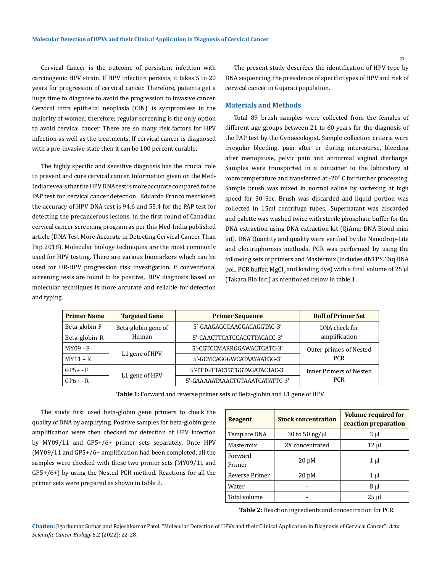Cervical Cancer is the outcome of persistent infection with carcinogenic HPV strain. If HPV infection persists, it takes 5 to 20 years for progression of cervical cancer. Therefore, patients get a huge time to diagnose to avoid the progression to invasive cancer. Cervical intra epithelial neoplasia (CIN) is symptomless in the majority of women, therefore; regular screening is the only option to avoid cervical cancer. There are so many risk factors for HPV infection as well as the treatments. If cervical cancer is diagnosed with a pre-invasive state then it can be 100 percent curable**.**

The highly specific and sensitive diagnosis has the crucial role to prevent and cure cervical cancer. Information given on the Med-India reveals that the HPV DNA test is more accurate compared to the PAP test for cervical cancer detection. Eduardo Franco mentioned the accuracy of HPV DNA test is 94.6 and 55.4 for the PAP test for detecting the precancerous lesions, in the first round of Canadian cervical cancer screening program as per this Med-India published article (DNA Test More Accurate in Detecting Cervical Cancer Than Pap 2018). Molecular biology techniques are the most commonly used for HPV testing. There are various biomarkers which can be used for HR-HPV progression risk investigation. If conventional screening tests are found to be positive, HPV diagnosis based on molecular techniques is more accurate and reliable for detection and typing.

The present study describes the identification of HPV type by DNA sequencing, the prevalence of specific types of HPV and risk of cervical cancer in Gujarati population.

#### **Materials and Methods**

Total 89 brush samples were collected from the females of different age groups between 21 to 60 years for the diagnosis of the PAP test by the Gynaecologist. Sample collection criteria were irregular bleeding, pain after or during intercourse, bleeding after menopause, pelvic pain and abnormal vaginal discharge. Samples were transported in a container to the laboratory at room temperature and transferred at -20<sup>0</sup> C for further processing. Sample brush was mixed in normal saline by vortexing at high speed for 30 Sec. Brush was discarded and liquid portion was collected in 15ml centrifuge tubes. Supernatant was discarded and palette was washed twice with sterile phosphate buffer for the DNA extraction using DNA extraction kit (QiAmp DNA Blood mini kit). DNA Quantity and quality were verified by the Nanodrop-Lite and electrophoresis methods. PCR was performed by using the following sets of primers and Mastermix (includes dNTPS, Taq DNA pol., PCR buffer, MgCl $_2$  and loading dye) with a final volume of 25  $\mu$ l (Takara Bio Inc.) as mentioned below in table 1.

| <b>Primer Name</b> | <b>Targeted Gene</b> | <b>Primer Sequence</b>          | <b>Roll of Primer Set</b>      |
|--------------------|----------------------|---------------------------------|--------------------------------|
| Beta-globin F      | Beta-globin gene of  | 5'-GAAGAGCCAAGGACAGGTAC-3'      | DNA check for                  |
| Beta-globin R      | Human                | 5'-CAACTTCATCCACGTTACACC-3'     | amplification                  |
| MY09 - F           |                      | 5'-CGTCCMARRGGAWACTGATC-3'      | Outer primes of Nested         |
| $MY11 - R$         | L1 gene of HPV       | 5'-GCMCAGGGWCATAAYAATGG-3'      | <b>PCR</b>                     |
| $GP5+ - F$         |                      | 5'-TTTGTTACTGTGGTAGATACTAC-3'   | <b>Inner Primers of Nested</b> |
| $GP6 + - R$        | L1 gene of HPV       | 5'-GAAAAATAAACTGTAAATCATATTC-3' | <b>PCR</b>                     |

**Table 1:** Forward and reverse primer sets of Beta-globin and L1 gene of HPV.

The study first used beta-globin gene primers to check the quality of DNA by amplifying. Positive samples for beta-globin gene amplification were then checked for detection of HPV infection by MY09/11 and GP5+/6+ primer sets separately. Once HPV (MY09/11 and GP5+/6+ amplification had been completed, all the samples were checked with these two primer sets (MY09/11 and GP5+/6+) by using the Nested PCR method. Reactions for all the primer sets were prepared as shown in table 2.

| Reagent           | <b>Stock concentration</b> | <b>Volume required for</b><br>reaction preparation |
|-------------------|----------------------------|----------------------------------------------------|
| Template DNA      | 30 to 50 ng/ $\mu$ l       | $3 \mu$                                            |
| Mastermix         | 2X concentrated            | 12 µl                                              |
| Forward<br>Primer | 20 <sub>pM</sub>           | 1 µl                                               |
| Reverse Primer    | 20 <sub>pM</sub>           | 1 µl                                               |
| Water             |                            | $8 \mu$                                            |
| Total volume      |                            | 25 µl                                              |

**Table 2:** Reaction ingredients and concentration for PCR.

**Citation:** Jigarkumar Suthar and Rajeshkumar Patel*.* "Molecular Detection of HPVs and their Clinical Application in Diagnosis of Cervical Cancer". *Acta Scientific Cancer Biology* 6.2 (2022): 22-28.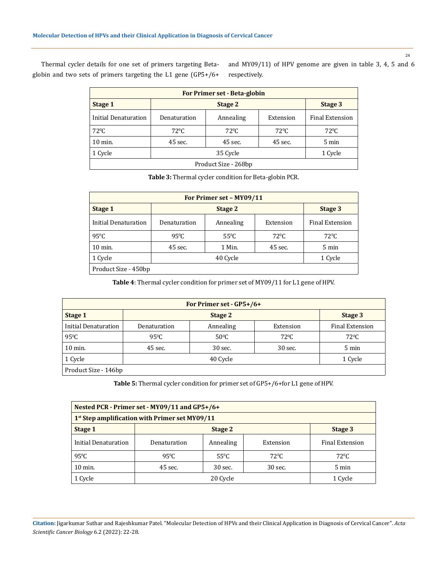Thermal cycler details for one set of primers targeting Betaglobin and two sets of primers targeting the L1 gene (GP5+/6+

and MY09/11) of HPV genome are given in table 3, 4, 5 and 6 respectively.

| <b>For Primer set - Beta-globin</b> |                     |                |                |                        |  |  |
|-------------------------------------|---------------------|----------------|----------------|------------------------|--|--|
| Stage 1                             | Stage 2<br>Stage 3  |                |                |                        |  |  |
| Initial Denaturation                | Denaturation        | Annealing      | Extension      | <b>Final Extension</b> |  |  |
| $72^{\circ}C$                       | $72^{\circ}$ C      | $72^{\circ}$ C | $72^{\circ}$ C | $72^{\circ}$ C         |  |  |
| $10$ min.                           | 45 sec.             | 45 sec.        | 45 sec.        | 5 min                  |  |  |
| 1 Cycle                             | 35 Cycle<br>1 Cycle |                |                |                        |  |  |
| Product Size - 268bp                |                     |                |                |                        |  |  |

**Table 3:** Thermal cycler condition for Beta-globin PCR.

| For Primer set - MY09/11 |                |                |                |                        |  |
|--------------------------|----------------|----------------|----------------|------------------------|--|
| Stage 1                  |                | Stage 3        |                |                        |  |
| Initial Denaturation     | Denaturation   | Annealing      | Extension      | <b>Final Extension</b> |  |
| $95^{\circ}$ C           | $95^{\circ}$ C | $55^{\circ}$ C | $72^{\circ}$ C | $72^{\circ}$ C         |  |
| $10$ min.                | 45 sec.        | 1 Min.         | 45 sec.        | 5 min                  |  |
| 1 Cycle                  | 40 Cycle       |                |                | 1 Cycle                |  |
| Product Size - 450bp     |                |                |                |                        |  |

**Table 4**: Thermal cycler condition for primer set of MY09/11 for L1 gene of HPV.

| For Primer set - GP5+/6+ |                |                |                |                        |  |
|--------------------------|----------------|----------------|----------------|------------------------|--|
| Stage 1                  |                | Stage 3        |                |                        |  |
| Initial Denaturation     | Denaturation   | Annealing      | Extension      | <b>Final Extension</b> |  |
| $95^{\circ}$ C           | $95^{\circ}$ C | $50^{\circ}$ C | $72^{\circ}$ C | $72^{\circ}$ C         |  |
| $10 \text{ min.}$        | 45 sec.        | 30 sec.        | 30 sec.        | 5 min                  |  |
| 1 Cycle                  | 40 Cycle       |                |                | 1 Cycle                |  |
| Product Size - 146bp     |                |                |                |                        |  |

**Table 5:** Thermal cycler condition for primer set of GP5+/6+for L1 gene of HPV.

| Nested PCR - Primer set - MY09/11 and GP5+/6+              |                    |                |                |                 |  |
|------------------------------------------------------------|--------------------|----------------|----------------|-----------------|--|
| 1 <sup>st</sup> Step amplification with Primer set MY09/11 |                    |                |                |                 |  |
| Stage 1                                                    | Stage 2<br>Stage 3 |                |                |                 |  |
| Initial Denaturation                                       | Denaturation       | Annealing      | Extension      | Final Extension |  |
| $95^{\circ}$ C                                             | $95^{\circ}$ C     | $55^{\circ}$ C | $72^{\circ}$ C | $72^{\circ}$ C  |  |
| $10 \text{ min}$ .                                         | 45 sec.            | 30 sec.        | 30 sec.        | $5 \text{ min}$ |  |
| 1 Cycle                                                    | 20 Cycle           |                |                | 1 Cycle         |  |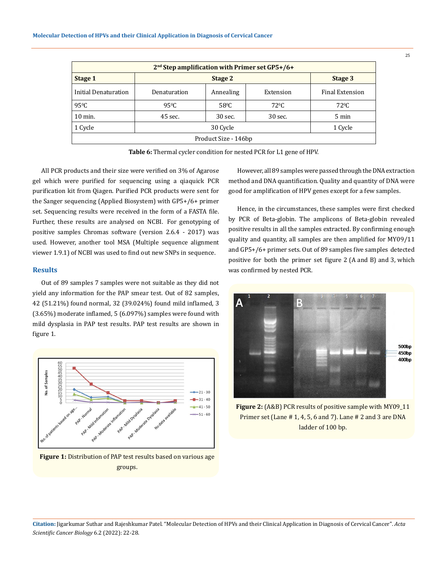| 2 <sup>nd</sup> Step amplification with Primer set GP5+/6+ |                |                |                |                        |  |
|------------------------------------------------------------|----------------|----------------|----------------|------------------------|--|
| Stage 1                                                    |                | Stage 3        |                |                        |  |
| Initial Denaturation                                       | Denaturation   | Annealing      | Extension      | <b>Final Extension</b> |  |
| $95^{\circ}$ C                                             | $95^{\circ}$ C | $58^{\circ}$ C | $72^{\circ}$ C | $72^{\circ}$ C         |  |
| $10$ min.                                                  | 45 sec.        | 30 sec.        | $30$ sec.      | $5 \text{ min}$        |  |
| 1 Cycle                                                    | 30 Cycle       |                |                | 1 Cycle                |  |
| Product Size - 146bp                                       |                |                |                |                        |  |



All PCR products and their size were verified on 3% of Agarose gel which were purified for sequencing using a qiaquick PCR purification kit from Qiagen. Purified PCR products were sent for the Sanger sequencing (Applied Biosystem) with GP5+/6+ primer set. Sequencing results were received in the form of a FASTA file. Further, these results are analysed on NCBI. For genotyping of positive samples Chromas software (version 2.6.4 - 2017) was used. However, another tool MSA (Multiple sequence alignment viewer 1.9.1) of NCBI was used to find out new SNPs in sequence.

#### **Results**

Out of 89 samples 7 samples were not suitable as they did not yield any information for the PAP smear test. Out of 82 samples, 42 (51.21%) found normal, 32 (39.024%) found mild inflamed, 3 (3.65%) moderate inflamed, 5 (6.097%) samples were found with mild dysplasia in PAP test results. PAP test results are shown in figure 1.



**Figure 1:** Distribution of PAP test results based on various age groups.

However, all 89 samples were passed through the DNA extraction method and DNA quantification. Quality and quantity of DNA were good for amplification of HPV genes except for a few samples.

Hence, in the circumstances, these samples were first checked by PCR of Beta-globin. The amplicons of Beta-globin revealed positive results in all the samples extracted. By confirming enough quality and quantity, all samples are then amplified for MY09/11 and GP5+/6+ primer sets. Out of 89 samples five samples detected positive for both the primer set figure 2 (A and B) and 3, which was confirmed by nested PCR.



**Figure 2:** (A&B) PCR results of positive sample with MY09\_11 Primer set (Lane # 1, 4, 5, 6 and 7). Lane # 2 and 3 are DNA ladder of 100 bp.

**Citation:** Jigarkumar Suthar and Rajeshkumar Patel*.* "Molecular Detection of HPVs and their Clinical Application in Diagnosis of Cervical Cancer". *Acta Scientific Cancer Biology* 6.2 (2022): 22-28.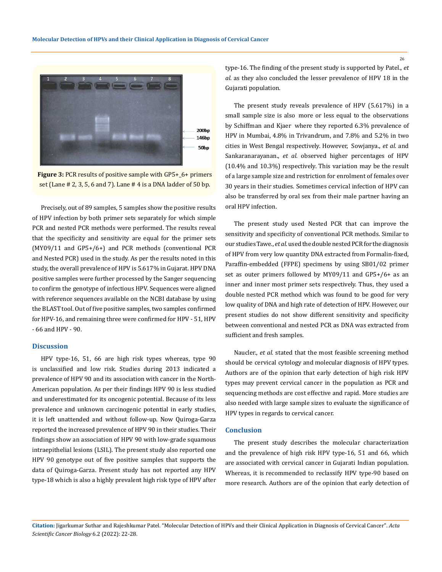

**Figure 3:** PCR results of positive sample with GP5+\_6+ primers set (Lane # 2, 3, 5, 6 and 7). Lane # 4 is a DNA ladder of 50 bp.

Precisely, out of 89 samples, 5 samples show the positive results of HPV infection by both primer sets separately for which simple PCR and nested PCR methods were performed. The results reveal that the specificity and sensitivity are equal for the primer sets (MY09/11 and GP5+/6+) and PCR methods (conventional PCR and Nested PCR) used in the study. As per the results noted in this study, the overall prevalence of HPV is 5.617% in Gujarat. HPV DNA positive samples were further processed by the Sanger sequencing to confirm the genotype of infectious HPV. Sequences were aligned with reference sequences available on the NCBI database by using the BLAST tool. Out of five positive samples, two samples confirmed for HPV-16, and remaining three were confirmed for HPV - 51, HPV - 66 and HPV - 90.

#### **Discussion**

HPV type-16, 51, 66 are high risk types whereas, type 90 is unclassified and low risk. Studies during 2013 indicated a prevalence of HPV 90 and its association with cancer in the North-American population. As per their findings HPV 90 is less studied and underestimated for its oncogenic potential. Because of its less prevalence and unknown carcinogenic potential in early studies, it is left unattended and without follow-up. Now Quiroga-Garza reported the increased prevalence of HPV 90 in their studies. Their findings show an association of HPV 90 with low-grade squamous intraepithelial lesions (LSIL). The present study also reported one HPV 90 genotype out of five positive samples that supports the data of Quiroga-Garza. Present study has not reported any HPV type-18 which is also a highly prevalent high risk type of HPV after

type-16. The finding of the present study is supported by Patel., *et al*. as they also concluded the lesser prevalence of HPV 18 in the Gujarati population.

The present study reveals prevalence of HPV (5.617%) in a small sample size is also more or less equal to the observations by Schiffman and Kjaer where they reported 6.3% prevalence of HPV in Mumbai, 4.8% in Trivandrum, and 7.8% and 5.2% in two cities in West Bengal respectively. However, Sowjanya., *et al.* and Sankaranarayanan., *et al.* observed higher percentages of HPV (10.4% and 10.3%) respectively. This variation may be the result of a large sample size and restriction for enrolment of females over 30 years in their studies. Sometimes cervical infection of HPV can also be transferred by oral sex from their male partner having an oral HPV infection.

The present study used Nested PCR that can improve the sensitivity and specificity of conventional PCR methods. Similar to our studies Tawe., *et al.* used the double nested PCR for the diagnosis of HPV from very low quantity DNA extracted from Formalin-fixed, Paraffin-embedded (FFPE) specimens by using SB01/02 primer set as outer primers followed by MY09/11 and GP5+/6+ as an inner and inner most primer sets respectively. Thus, they used a double nested PCR method which was found to be good for very low quality of DNA and high rate of detection of HPV. However, our present studies do not show different sensitivity and specificity between conventional and nested PCR as DNA was extracted from sufficient and fresh samples.

Naucler., *et al.* stated that the most feasible screening method should be cervical cytology and molecular diagnosis of HPV types. Authors are of the opinion that early detection of high risk HPV types may prevent cervical cancer in the population as PCR and sequencing methods are cost effective and rapid. More studies are also needed with large sample sizes to evaluate the significance of HPV types in regards to cervical cancer.

#### **Conclusion**

The present study describes the molecular characterization and the prevalence of high risk HPV type-16, 51 and 66, which are associated with cervical cancer in Gujarati Indian population. Whereas, it is recommended to reclassify HPV type-90 based on more research. Authors are of the opinion that early detection of

**Citation:** Jigarkumar Suthar and Rajeshkumar Patel*.* "Molecular Detection of HPVs and their Clinical Application in Diagnosis of Cervical Cancer". *Acta Scientific Cancer Biology* 6.2 (2022): 22-28.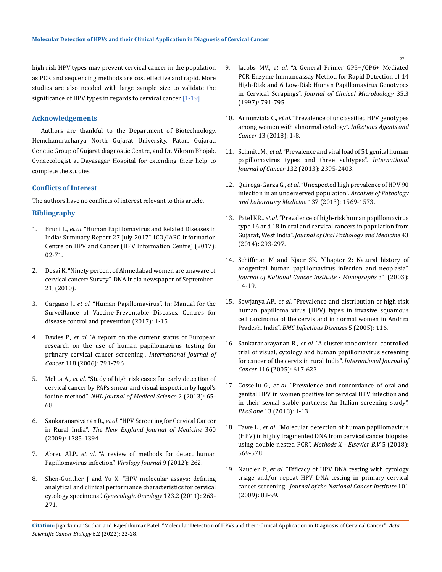high risk HPV types may prevent cervical cancer in the population as PCR and sequencing methods are cost effective and rapid. More studies are also needed with large sample size to validate the significance of HPV types in regards to cervical cancer  $[1-19]$ .

## **Acknowledgements**

Authors are thankful to the Department of Biotechnology, Hemchandracharya North Gujarat University, Patan, Gujarat, Genetic Group of Gujarat diagnostic Centre, and Dr. Vikram Bhojak, Gynaecologist at Dayasagar Hospital for extending their help to complete the studies.

#### **Conflicts of Interest**

The authors have no conflicts of interest relevant to this article.

## **Bibliography**

- 1. Bruni L., *et al*[. "Human Papillomavirus and Related Diseases in](https://hpvcentre.net/statistics/reports/IND.pdf)  [India: Summary Report 27 July 2017". ICO/IARC Information](https://hpvcentre.net/statistics/reports/IND.pdf)  [Centre on HPV and Cancer \(HPV Information Centre\) \(2017\):](https://hpvcentre.net/statistics/reports/IND.pdf)  [02-71.](https://hpvcentre.net/statistics/reports/IND.pdf)
- 2. Desai K. "Ninety percent of Ahmedabad women are unaware of cervical cancer: Survey". DNA India newspaper of September 21, (2010).
- 3. Gargano J., *et al*[. "Human Papillomavirus". In: Manual for the](https://www.cdc.gov/vaccines/pubs/surv-manual/chpt05-hpv.html)  [Surveillance of Vaccine-Preventable Diseases. Centres for](https://www.cdc.gov/vaccines/pubs/surv-manual/chpt05-hpv.html)  [disease control and prevention \(2017\): 1-15.](https://www.cdc.gov/vaccines/pubs/surv-manual/chpt05-hpv.html)
- 4. Davies P., *et al*[. "A report on the current status of European](https://onlinelibrary.wiley.com/doi/full/10.1002/ijc.21611)  [research on the use of human papillomavirus testing for](https://onlinelibrary.wiley.com/doi/full/10.1002/ijc.21611)  [primary cervical cancer screening".](https://onlinelibrary.wiley.com/doi/full/10.1002/ijc.21611) *International Journal of Cancer* [118 \(2006\): 791-796.](https://onlinelibrary.wiley.com/doi/full/10.1002/ijc.21611)
- 5. Mehta A., *et al*[. "Study of high risk cases for early detection of](https://www.ijcm.org.in/article.asp?issn=0970-0218;year=2018;volume=43;issue=2;spage=%2086;epage=89;aulast=Arun)  [cervical cancer by PAPs smear and visual inspection by lugol's](https://www.ijcm.org.in/article.asp?issn=0970-0218;year=2018;volume=43;issue=2;spage=%2086;epage=89;aulast=Arun)  iodine method". *[NHL Journal of Medical Science](https://www.ijcm.org.in/article.asp?issn=0970-0218;year=2018;volume=43;issue=2;spage=%2086;epage=89;aulast=Arun)* 2 (2013): 65- [68.](https://www.ijcm.org.in/article.asp?issn=0970-0218;year=2018;volume=43;issue=2;spage=%2086;epage=89;aulast=Arun)
- 6. Sankaranarayanan R., *et al*[. "HPV Screening for Cervical Cancer](https://pubmed.ncbi.nlm.nih.gov/19339719/)  in Rural India". *[The New England Journal of Medicine](https://pubmed.ncbi.nlm.nih.gov/19339719/)* 360 [\(2009\): 1385-1394.](https://pubmed.ncbi.nlm.nih.gov/19339719/)
- 7. Abreu ALP., *et al*[. "A review of methods for detect human](https://www.ncbi.nlm.nih.gov/pmc/articles/PMC3507852/)  [Papillomavirus infection".](https://www.ncbi.nlm.nih.gov/pmc/articles/PMC3507852/) *Virology Journal* 9 (2012): 262.
- 8. [Shen-Gunther J and Yu X. "HPV molecular assays: defining](https://www.ncbi.nlm.nih.gov/pmc/articles/PMC3507852/)  [analytical and clinical performance characteristics for cervical](https://www.ncbi.nlm.nih.gov/pmc/articles/PMC3507852/)  cytology specimens". *[Gynecologic Oncology](https://www.ncbi.nlm.nih.gov/pmc/articles/PMC3507852/)* 123.2 (2011): 263- [271.](https://www.ncbi.nlm.nih.gov/pmc/articles/PMC3507852/)
- 9. Jacobs MV., *et al*[. "A General Primer GP5+/GP6+ Mediated](https://pubmed.ncbi.nlm.nih.gov/9041439/)  [PCR-Enzyme Immunoassay Method for Rapid Detection of 14](https://pubmed.ncbi.nlm.nih.gov/9041439/)  [High-Risk and 6 Low-Risk Human Papillomavirus Genotypes](https://pubmed.ncbi.nlm.nih.gov/9041439/)  in Cervical Scrapings". *[Journal of Clinical Microbiology](https://pubmed.ncbi.nlm.nih.gov/9041439/)* 35.3 [\(1997\): 791-795.](https://pubmed.ncbi.nlm.nih.gov/9041439/)
- 10. Annunziata C., *et al*[. "Prevalence of unclassified HPV genotypes](https://infectagentscancer.biomedcentral.com/articles/10.1186/s13027-018-0199-0)  [among women with abnormal cytology".](https://infectagentscancer.biomedcentral.com/articles/10.1186/s13027-018-0199-0) *Infectious Agents and Cancer* [13 \(2018\): 1-8.](https://infectagentscancer.biomedcentral.com/articles/10.1186/s13027-018-0199-0)
- 11. Schmitt M., *et al*[. "Prevalence and viral load of 51 genital human](https://pubmed.ncbi.nlm.nih.gov/23034864/)  [papillomavirus types and three subtypes".](https://pubmed.ncbi.nlm.nih.gov/23034864/) *International Journal of Cancer* [132 \(2013\): 2395-2403.](https://pubmed.ncbi.nlm.nih.gov/23034864/)
- 12. Quiroga-Garza G., *et al*[. "Unexpected high prevalence of HPV 90](https://pubmed.ncbi.nlm.nih.gov/23425019/)  [infection in an underserved population".](https://pubmed.ncbi.nlm.nih.gov/23425019/) *Archives of Pathology [and Laboratory Medicine](https://pubmed.ncbi.nlm.nih.gov/23425019/)* 137 (2013): 1569-1573.
- 13. Patel KR., *et al*[. "Prevalence of high-risk human papillomavirus](https://www.ijcmr.com/uploads/7/7/4/6/77464738/ijcmr_1268_mar_11.pdf)  [type 16 and 18 in oral and cervical cancers in population from](https://www.ijcmr.com/uploads/7/7/4/6/77464738/ijcmr_1268_mar_11.pdf)  Gujarat, West India". *[Journal of Oral Pathology and Medicine](https://www.ijcmr.com/uploads/7/7/4/6/77464738/ijcmr_1268_mar_11.pdf)* 43 [\(2014\): 293-297.](https://www.ijcmr.com/uploads/7/7/4/6/77464738/ijcmr_1268_mar_11.pdf)
- 14. [Schiffman M and Kjaer SK. "Chapter 2: Natural history of](https://pubmed.ncbi.nlm.nih.gov/12807940/)  [anogenital human papillomavirus infection and neoplasia".](https://pubmed.ncbi.nlm.nih.gov/12807940/)  *[Journal of National Cancer Institute - Monographs](https://pubmed.ncbi.nlm.nih.gov/12807940/)* 31 (2003): [14-19.](https://pubmed.ncbi.nlm.nih.gov/12807940/)
- 15. Sowjanya AP., *et al*[. "Prevalence and distribution of high-risk](https://pubmed.ncbi.nlm.nih.gov/16371167/)  [human papilloma virus \(HPV\) types in invasive squamous](https://pubmed.ncbi.nlm.nih.gov/16371167/)  [cell carcinoma of the cervix and in normal women in Andhra](https://pubmed.ncbi.nlm.nih.gov/16371167/)  Pradesh, India". *[BMC Infectious Diseases](https://pubmed.ncbi.nlm.nih.gov/16371167/)* 5 (2005): 116.
- 16. Sankaranarayanan R., *et al*[. "A cluster randomised controlled](https://pubmed.ncbi.nlm.nih.gov/15818610/)  [trial of visual, cytology and human papillomavirus screening](https://pubmed.ncbi.nlm.nih.gov/15818610/)  [for cancer of the cervix in rural India".](https://pubmed.ncbi.nlm.nih.gov/15818610/) *International Journal of Cancer* [116 \(2005\): 617-623.](https://pubmed.ncbi.nlm.nih.gov/15818610/)
- 17. Cossellu G., *et al*[. "Prevalence and concordance of oral and](https://pubmed.ncbi.nlm.nih.gov/30335788/)  [genital HPV in women positive for cervical HPV infection and](https://pubmed.ncbi.nlm.nih.gov/30335788/)  [in their sexual stable partners: An Italian screening study".](https://pubmed.ncbi.nlm.nih.gov/30335788/)  *PLoS one* [13 \(2018\): 1-13.](https://pubmed.ncbi.nlm.nih.gov/30335788/)
- 18. Tawe L., *et al*[. "Molecular detection of human papillomavirus](https://www.sciencedirect.com/science/article/pii/S2215016118300852)  [\(HPV\) in highly fragmented DNA from cervical cancer biopsies](https://www.sciencedirect.com/science/article/pii/S2215016118300852)  using double-nested PCR". *[Methods X - Elsevier B.V](https://www.sciencedirect.com/science/article/pii/S2215016118300852)* 5 (2018): [569-578.](https://www.sciencedirect.com/science/article/pii/S2215016118300852)
- 19. Naucler P., *et al*[. "Efficacy of HPV DNA testing with cytology](https://pubmed.ncbi.nlm.nih.gov/19141778/)  [triage and/or repeat HPV DNA testing in primary cervical](https://pubmed.ncbi.nlm.nih.gov/19141778/)  cancer screening". *[Journal of the National Cancer Institute](https://pubmed.ncbi.nlm.nih.gov/19141778/)* 101 [\(2009\): 88-99.](https://pubmed.ncbi.nlm.nih.gov/19141778/)

**Citation:** Jigarkumar Suthar and Rajeshkumar Patel*.* "Molecular Detection of HPVs and their Clinical Application in Diagnosis of Cervical Cancer". *Acta Scientific Cancer Biology* 6.2 (2022): 22-28.